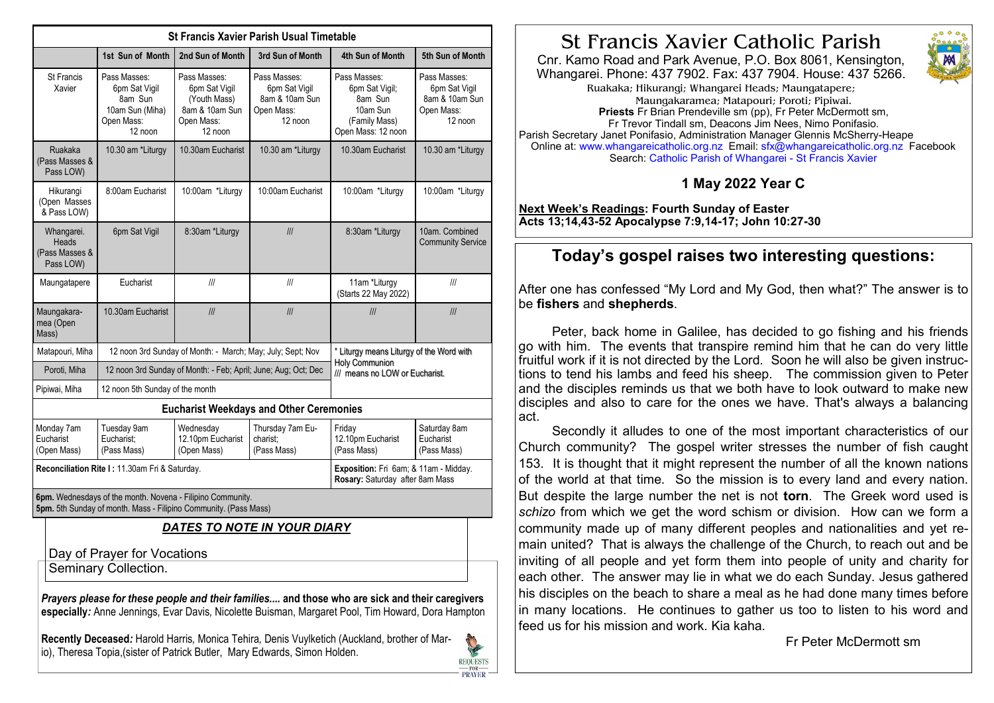| <b>St Francis Xavier Parish Usual Timetable</b>           |                                                                                                                                |                                                                                          |                                                                          |                                                                                                     |                                                                          |  |
|-----------------------------------------------------------|--------------------------------------------------------------------------------------------------------------------------------|------------------------------------------------------------------------------------------|--------------------------------------------------------------------------|-----------------------------------------------------------------------------------------------------|--------------------------------------------------------------------------|--|
|                                                           | 1st Sun of Month                                                                                                               | 2nd Sun of Month                                                                         | 3rd Sun of Month                                                         | 4th Sun of Month                                                                                    | 5th Sun of Month                                                         |  |
| <b>St Francis</b><br>Xavier                               | Pass Masses:<br>6pm Sat Vigil<br>8am Sun<br>10am Sun (Miha)<br>Open Mass:<br>12 noon                                           | Pass Masses:<br>6pm Sat Vigil<br>(Youth Mass)<br>8am & 10am Sun<br>Open Mass:<br>12 noon | Pass Masses:<br>6pm Sat Vigil<br>8am & 10am Sun<br>Open Mass:<br>12 noon | Pass Masses:<br>6pm Sat Vigil;<br>8am Sun<br>10am Sun<br>(Family Mass)<br>Open Mass: 12 noon        | Pass Masses:<br>6pm Sat Vigil<br>8am & 10am Sun<br>Open Mass:<br>12 noon |  |
| Ruakaka<br>(Pass Masses &<br>Pass LOW)                    | 10.30 am *Liturgy                                                                                                              | 10.30am Eucharist                                                                        | 10.30 am *Liturgy                                                        | 10.30am Eucharist                                                                                   | 10.30 am *Liturgy                                                        |  |
| Hikurangi<br>(Open Masses<br>& Pass LOW)                  | 8:00am Eucharist                                                                                                               | 10:00am *Liturgy                                                                         | 10:00am Eucharist                                                        | 10:00am *Liturgy                                                                                    | 10:00am *Liturgy                                                         |  |
| Whangarei.<br><b>Heads</b><br>(Pass Masses &<br>Pass LOW) | 6pm Sat Vigil                                                                                                                  | 8:30am *Liturgy                                                                          | III                                                                      | 8:30am *Liturgy                                                                                     | 10am. Combined<br><b>Community Service</b>                               |  |
| Maungatapere                                              | Eucharist                                                                                                                      | III                                                                                      | III                                                                      | 11am *Liturgy<br>(Starts 22 May 2022)                                                               | III                                                                      |  |
| Maungakara-<br>mea (Open<br>Mass)                         | 10.30am Eucharist                                                                                                              | III                                                                                      | III                                                                      | III                                                                                                 | III                                                                      |  |
| Matapouri, Miha                                           | 12 noon 3rd Sunday of Month: - March; May; July; Sept; Nov                                                                     |                                                                                          |                                                                          | * Liturgy means Liturgy of the Word with<br><b>Holy Communion</b><br>III means no LOW or Eucharist. |                                                                          |  |
| Poroti, Miha                                              | 12 noon 3rd Sunday of Month: - Feb; April; June; Aug; Oct; Dec                                                                 |                                                                                          |                                                                          |                                                                                                     |                                                                          |  |
| Pipiwai, Miha                                             | 12 noon 5th Sunday of the month                                                                                                |                                                                                          |                                                                          |                                                                                                     |                                                                          |  |
| <b>Eucharist Weekdays and Other Ceremonies</b>            |                                                                                                                                |                                                                                          |                                                                          |                                                                                                     |                                                                          |  |
| Monday 7am<br>Eucharist<br>(Open Mass)                    | Tuesday 9am<br>Eucharist:<br>(Pass Mass)                                                                                       | Wednesday<br>12.10pm Eucharist<br>(Open Mass)                                            | Thursday 7am Eu-<br>charist;<br>(Pass Mass)                              | Friday<br>12.10pm Eucharist<br>(Pass Mass)                                                          | Saturday 8am<br>Eucharist<br>(Pass Mass)                                 |  |
| Reconciliation Rite I: 11.30am Fri & Saturday.            |                                                                                                                                |                                                                                          |                                                                          | Exposition: Fri 6am; & 11am - Midday.<br>Rosary: Saturday after 8am Mass                            |                                                                          |  |
|                                                           | 6pm. Wednesdays of the month. Novena - Filipino Community.<br>5pm. 5th Sunday of month. Mass - Filipino Community. (Pass Mass) |                                                                                          |                                                                          |                                                                                                     |                                                                          |  |
| <u>DATES TO NOTE IN YOUR DIARY</u>                        |                                                                                                                                |                                                                                          |                                                                          |                                                                                                     |                                                                          |  |
| Day of Prayer for Vocations<br>Seminary Collection.       |                                                                                                                                |                                                                                          |                                                                          |                                                                                                     |                                                                          |  |

Prayers please for these people and their families.... and those who are sick and their caregivers especially: Anne Jennings, Evar Davis, Nicolette Buisman, Margaret Pool, Tim Howard, Dora Hampton

Recently Deceased: Harold Harris, Monica Tehira, Denis Vuylketich (Auckland, brother of Mario), Theresa Topia,(sister of Patrick Butler, Mary Edwards, Simon Holden.



## St Francis Xavier Catholic Parish

Cnr. Kamo Road and Park Avenue, P.O. Box 8061, Kensington, Whangarei, Phone: 437 7902, Fax: 437 7904, House: 437 5266.



Ruakaka; Hikurangi; Whangarei Heads; Maungatapere; Maungakaramea; Matapouri; Poroti; Pipiwai. **Priests** Fr Brian Prendeville sm (pp), Fr Peter McDermott sm, Fr Trevor Tindall sm. Deacons Jim Nees. Nimo Ponifasio. Parish Secretary Janet Ponifasio, Administration Manager Glennis McSherry-Heape Online at: www.whangareicatholic.org.nz Email: sfx@whangareicatholic.org.nz Facebook Search: Catholic Parish of Whangarei - St Francis Xavier

## 1 May 2022 Year C

Next Week's Readings: Fourth Sunday of Easter Acts 13:14,43-52 Apocalypse 7:9,14-17; John 10:27-30

## Today's gospel raises two interesting questions:

After one has confessed "My Lord and My God, then what?" The answer is to be fishers and shepherds.

Peter, back home in Galilee, has decided to go fishing and his friends go with him. The events that transpire remind him that he can do very little fruitful work if it is not directed by the Lord. Soon he will also be given instructions to tend his lambs and feed his sheep. The commission given to Peter and the disciples reminds us that we both have to look outward to make new disciples and also to care for the ones we have. That's always a balancing act

Secondly it alludes to one of the most important characteristics of our Church community? The gospel writer stresses the number of fish caught 153. It is thought that it might represent the number of all the known nations of the world at that time. So the mission is to every land and every nation. But despite the large number the net is not **torn**. The Greek word used is schizo from which we get the word schism or division. How can we form a community made up of many different peoples and nationalities and yet remain united? That is always the challenge of the Church, to reach out and be inviting of all people and yet form them into people of unity and charity for each other. The answer may lie in what we do each Sunday. Jesus gathered his disciples on the beach to share a meal as he had done many times before in many locations. He continues to gather us too to listen to his word and feed us for his mission and work. Kia kaha.

Fr Peter McDermott sm